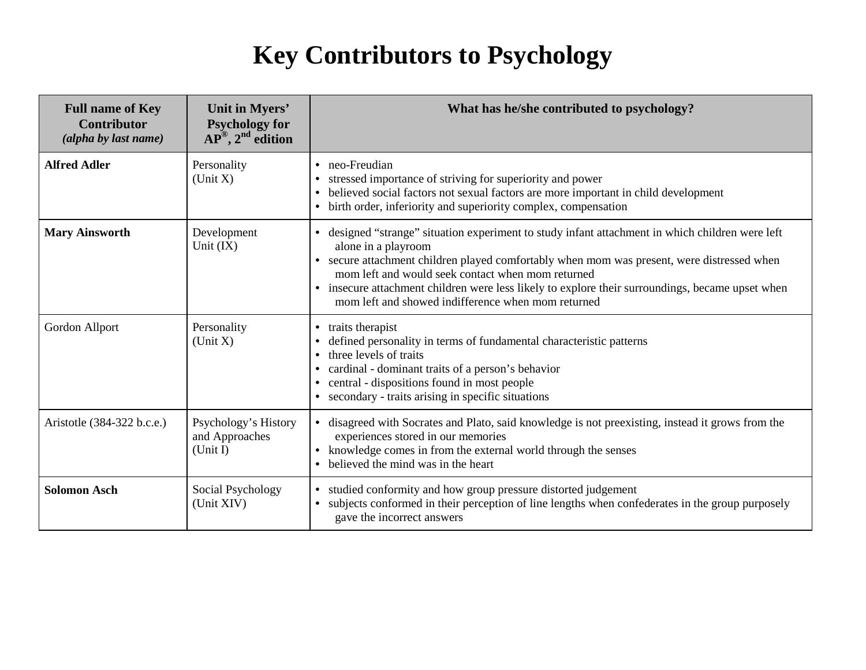## **Key Contributors to Psychology**

| <b>Full name of Key</b><br><b>Contributor</b><br>(alpha by last name) | Unit in Myers'<br><b>Psychology for</b><br>$AP^{\circledR}$ , $2^{\text{nd}}$ edition | What has he/she contributed to psychology?                                                                                                                                                                                                                                                                                                                                                                                           |
|-----------------------------------------------------------------------|---------------------------------------------------------------------------------------|--------------------------------------------------------------------------------------------------------------------------------------------------------------------------------------------------------------------------------------------------------------------------------------------------------------------------------------------------------------------------------------------------------------------------------------|
| <b>Alfred Adler</b>                                                   | Personality<br>(Unit X)                                                               | • neo-Freudian<br>stressed importance of striving for superiority and power<br>• believed social factors not sexual factors are more important in child development<br>• birth order, inferiority and superiority complex, compensation                                                                                                                                                                                              |
| <b>Mary Ainsworth</b>                                                 | Development<br>Unit $(IX)$                                                            | • designed "strange" situation experiment to study infant attachment in which children were left<br>alone in a playroom<br>• secure attachment children played comfortably when mom was present, were distressed when<br>mom left and would seek contact when mom returned<br>• insecure attachment children were less likely to explore their surroundings, became upset when<br>mom left and showed indifference when mom returned |
| Gordon Allport                                                        | Personality<br>(Unit X)                                                               | • traits therapist<br>defined personality in terms of fundamental characteristic patterns<br>• three levels of traits<br>• cardinal - dominant traits of a person's behavior<br>• central - dispositions found in most people<br>• secondary - traits arising in specific situations                                                                                                                                                 |
| Aristotle (384-322 b.c.e.)                                            | Psychology's History<br>and Approaches<br>(Unit I)                                    | • disagreed with Socrates and Plato, said knowledge is not preexisting, instead it grows from the<br>experiences stored in our memories<br>• knowledge comes in from the external world through the senses<br>• believed the mind was in the heart                                                                                                                                                                                   |
| <b>Solomon Asch</b>                                                   | Social Psychology<br>(Unit XIV)                                                       | • studied conformity and how group pressure distorted judgement<br>subjects conformed in their perception of line lengths when confederates in the group purposely<br>$\bullet$<br>gave the incorrect answers                                                                                                                                                                                                                        |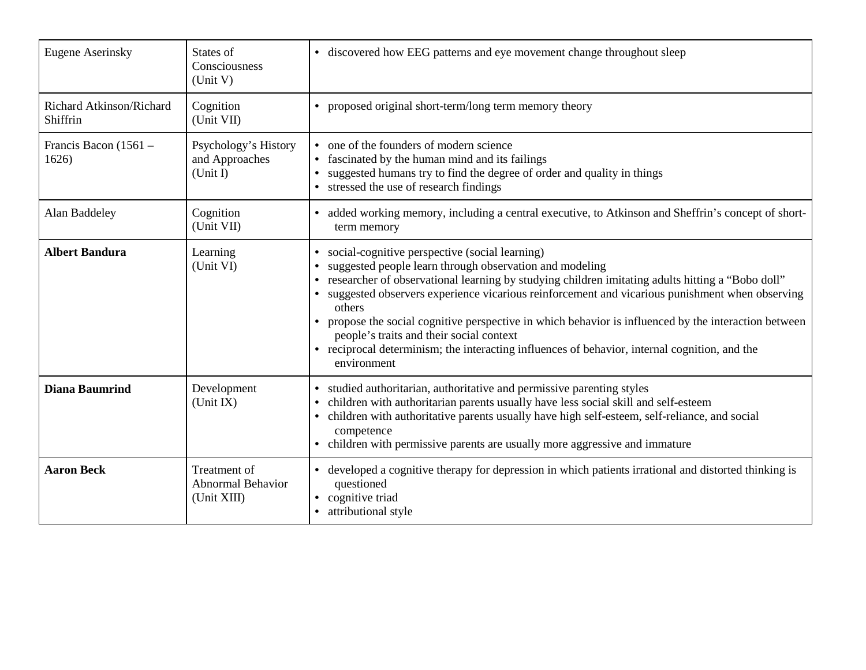| <b>Eugene Aserinsky</b>              | States of<br>Consciousness<br>(Unit V)                  | • discovered how EEG patterns and eye movement change throughout sleep                                                                                                                                                                                                                                                                                                                                                                                                                                                                                                                           |
|--------------------------------------|---------------------------------------------------------|--------------------------------------------------------------------------------------------------------------------------------------------------------------------------------------------------------------------------------------------------------------------------------------------------------------------------------------------------------------------------------------------------------------------------------------------------------------------------------------------------------------------------------------------------------------------------------------------------|
| Richard Atkinson/Richard<br>Shiffrin | Cognition<br>(Unit VII)                                 | • proposed original short-term/long term memory theory                                                                                                                                                                                                                                                                                                                                                                                                                                                                                                                                           |
| Francis Bacon (1561 -<br>1626)       | Psychology's History<br>and Approaches<br>(Unit I)      | • one of the founders of modern science<br>fascinated by the human mind and its failings<br>suggested humans try to find the degree of order and quality in things<br>• stressed the use of research findings                                                                                                                                                                                                                                                                                                                                                                                    |
| Alan Baddeley                        | Cognition<br>(Unit VII)                                 | • added working memory, including a central executive, to Atkinson and Sheffrin's concept of short-<br>term memory                                                                                                                                                                                                                                                                                                                                                                                                                                                                               |
| <b>Albert Bandura</b>                | Learning<br>(Unit VI)                                   | • social-cognitive perspective (social learning)<br>suggested people learn through observation and modeling<br>researcher of observational learning by studying children imitating adults hitting a "Bobo doll"<br>suggested observers experience vicarious reinforcement and vicarious punishment when observing<br>others<br>• propose the social cognitive perspective in which behavior is influenced by the interaction between<br>people's traits and their social context<br>• reciprocal determinism; the interacting influences of behavior, internal cognition, and the<br>environment |
| <b>Diana Baumrind</b>                | Development<br>(Unit IX)                                | • studied authoritarian, authoritative and permissive parenting styles<br>children with authoritarian parents usually have less social skill and self-esteem<br>children with authoritative parents usually have high self-esteem, self-reliance, and social<br>competence<br>• children with permissive parents are usually more aggressive and immature                                                                                                                                                                                                                                        |
| <b>Aaron Beck</b>                    | Treatment of<br><b>Abnormal Behavior</b><br>(Unit XIII) | • developed a cognitive therapy for depression in which patients irrational and distorted thinking is<br>questioned<br>• cognitive triad<br>attributional style                                                                                                                                                                                                                                                                                                                                                                                                                                  |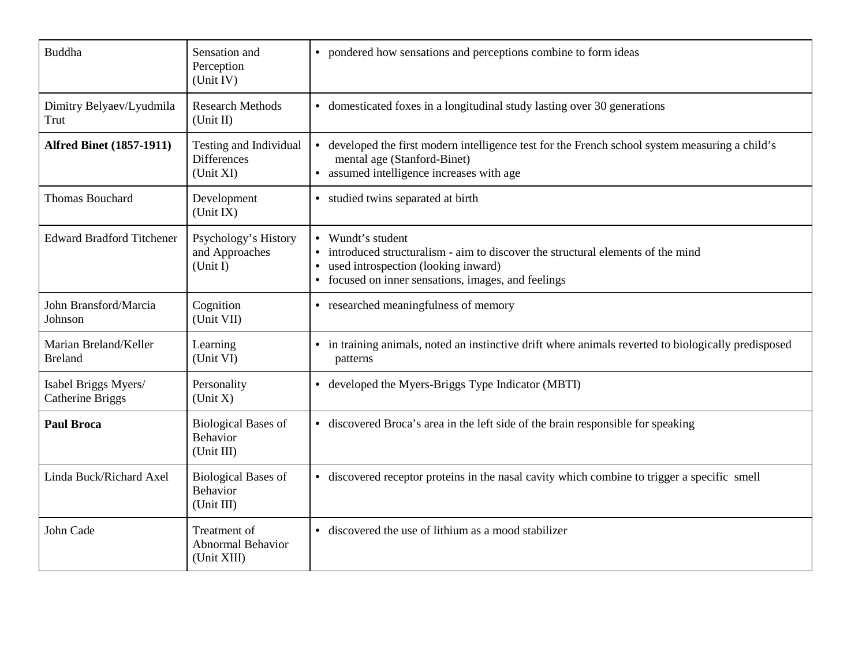| <b>Buddha</b>                                   | Sensation and<br>Perception<br>(Unit IV)                  | • pondered how sensations and perceptions combine to form ideas                                                                                                                                     |
|-------------------------------------------------|-----------------------------------------------------------|-----------------------------------------------------------------------------------------------------------------------------------------------------------------------------------------------------|
| Dimitry Belyaev/Lyudmila<br>Trut                | <b>Research Methods</b><br>(Unit II)                      | • domesticated foxes in a longitudinal study lasting over 30 generations                                                                                                                            |
| <b>Alfred Binet (1857-1911)</b>                 | Testing and Individual<br><b>Differences</b><br>(Unit XI) | • developed the first modern intelligence test for the French school system measuring a child's<br>mental age (Stanford-Binet)<br>• assumed intelligence increases with age                         |
| <b>Thomas Bouchard</b>                          | Development<br>(Unit IX)                                  | • studied twins separated at birth                                                                                                                                                                  |
| <b>Edward Bradford Titchener</b>                | Psychology's History<br>and Approaches<br>(Unit I)        | • Wundt's student<br>• introduced structuralism - aim to discover the structural elements of the mind<br>used introspection (looking inward)<br>• focused on inner sensations, images, and feelings |
| John Bransford/Marcia<br>Johnson                | Cognition<br>(Unit VII)                                   | • researched meaningfulness of memory                                                                                                                                                               |
| Marian Breland/Keller<br><b>Breland</b>         | Learning<br>(Unit VI)                                     | • in training animals, noted an instinctive drift where animals reverted to biologically predisposed<br>patterns                                                                                    |
| Isabel Briggs Myers/<br><b>Catherine Briggs</b> | Personality<br>(Unit X)                                   | • developed the Myers-Briggs Type Indicator (MBTI)                                                                                                                                                  |
| <b>Paul Broca</b>                               | <b>Biological Bases of</b><br>Behavior<br>(Unit III)      | • discovered Broca's area in the left side of the brain responsible for speaking                                                                                                                    |
| Linda Buck/Richard Axel                         | <b>Biological Bases of</b><br>Behavior<br>(Unit III)      | • discovered receptor proteins in the nasal cavity which combine to trigger a specific smell                                                                                                        |
| John Cade                                       | Treatment of<br>Abnormal Behavior<br>(Unit XIII)          | • discovered the use of lithium as a mood stabilizer                                                                                                                                                |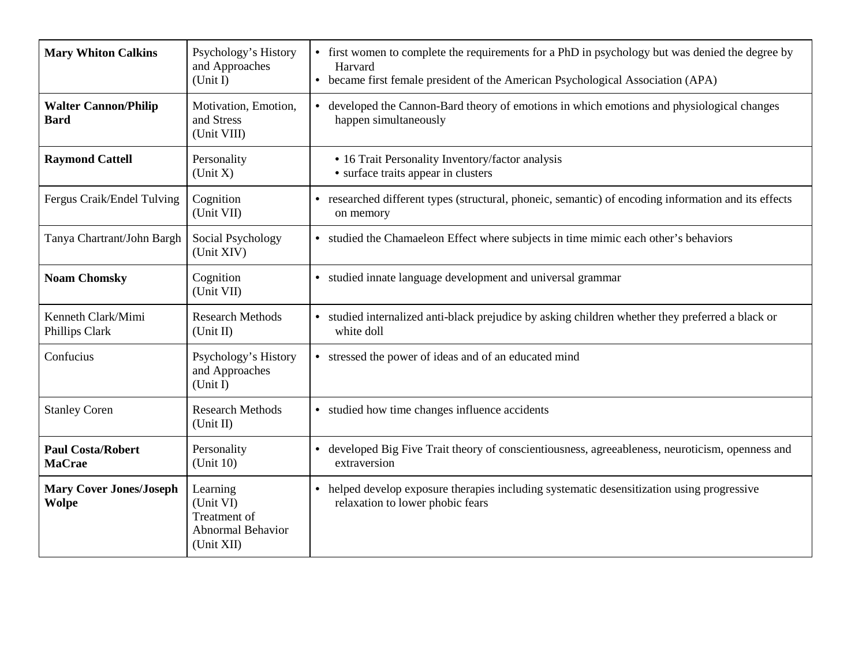| <b>Mary Whiton Calkins</b>                     | Psychology's History<br>and Approaches<br>(Unit I)                       | • first women to complete the requirements for a PhD in psychology but was denied the degree by<br>Harvard<br>• became first female president of the American Psychological Association (APA) |
|------------------------------------------------|--------------------------------------------------------------------------|-----------------------------------------------------------------------------------------------------------------------------------------------------------------------------------------------|
| <b>Walter Cannon/Philip</b><br><b>Bard</b>     | Motivation, Emotion,<br>and Stress<br>(Unit VIII)                        | • developed the Cannon-Bard theory of emotions in which emotions and physiological changes<br>happen simultaneously                                                                           |
| <b>Raymond Cattell</b>                         | Personality<br>(Unit X)                                                  | • 16 Trait Personality Inventory/factor analysis<br>• surface traits appear in clusters                                                                                                       |
| Fergus Craik/Endel Tulving                     | Cognition<br>(Unit VII)                                                  | • researched different types (structural, phoneic, semantic) of encoding information and its effects<br>on memory                                                                             |
| Tanya Chartrant/John Bargh                     | Social Psychology<br>(Unit XIV)                                          | • studied the Chamaeleon Effect where subjects in time mimic each other's behaviors                                                                                                           |
| <b>Noam Chomsky</b>                            | Cognition<br>(Unit VII)                                                  | • studied innate language development and universal grammar                                                                                                                                   |
| Kenneth Clark/Mimi<br>Phillips Clark           | <b>Research Methods</b><br>(Unit II)                                     | • studied internalized anti-black prejudice by asking children whether they preferred a black or<br>white doll                                                                                |
| Confucius                                      | Psychology's History<br>and Approaches<br>(Unit I)                       | • stressed the power of ideas and of an educated mind                                                                                                                                         |
| <b>Stanley Coren</b>                           | <b>Research Methods</b><br>(Unit II)                                     | • studied how time changes influence accidents                                                                                                                                                |
| <b>Paul Costa/Robert</b><br><b>MaCrae</b>      | Personality<br>(Unit 10)                                                 | • developed Big Five Trait theory of conscientiousness, agreeableness, neuroticism, openness and<br>extraversion                                                                              |
| <b>Mary Cover Jones/Joseph</b><br><b>Wolpe</b> | Learning<br>(Unit VI)<br>Treatment of<br>Abnormal Behavior<br>(Unit XII) | • helped develop exposure therapies including systematic desensitization using progressive<br>relaxation to lower phobic fears                                                                |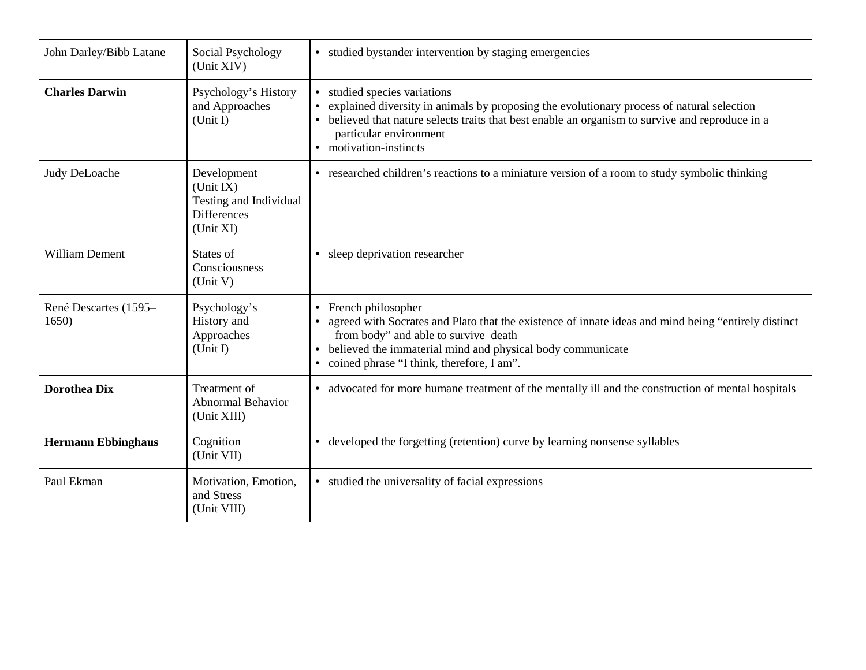| John Darley/Bibb Latane        | Social Psychology<br>(Unit XIV)                                                       | • studied by stander intervention by staging emergencies                                                                                                                                                                                                                       |
|--------------------------------|---------------------------------------------------------------------------------------|--------------------------------------------------------------------------------------------------------------------------------------------------------------------------------------------------------------------------------------------------------------------------------|
| <b>Charles Darwin</b>          | Psychology's History<br>and Approaches<br>(Unit I)                                    | studied species variations<br>explained diversity in animals by proposing the evolutionary process of natural selection<br>believed that nature selects traits that best enable an organism to survive and reproduce in a<br>particular environment<br>• motivation-instincts  |
| Judy DeLoache                  | Development<br>(Unit IX)<br>Testing and Individual<br><b>Differences</b><br>(Unit XI) | • researched children's reactions to a miniature version of a room to study symbolic thinking                                                                                                                                                                                  |
| <b>William Dement</b>          | States of<br>Consciousness<br>(Unit V)                                                | • sleep deprivation researcher                                                                                                                                                                                                                                                 |
| René Descartes (1595-<br>1650) | Psychology's<br>History and<br>Approaches<br>(Unit I)                                 | • French philosopher<br>agreed with Socrates and Plato that the existence of innate ideas and mind being "entirely distinct<br>from body" and able to survive death<br>believed the immaterial mind and physical body communicate<br>coined phrase "I think, therefore, I am". |
| <b>Dorothea Dix</b>            | Treatment of<br><b>Abnormal Behavior</b><br>(Unit XIII)                               | • advocated for more humane treatment of the mentally ill and the construction of mental hospitals                                                                                                                                                                             |
| <b>Hermann Ebbinghaus</b>      | Cognition<br>(Unit VII)                                                               | developed the forgetting (retention) curve by learning nonsense syllables<br>$\bullet$                                                                                                                                                                                         |
| Paul Ekman                     | Motivation, Emotion,<br>and Stress<br>(Unit VIII)                                     | • studied the universality of facial expressions                                                                                                                                                                                                                               |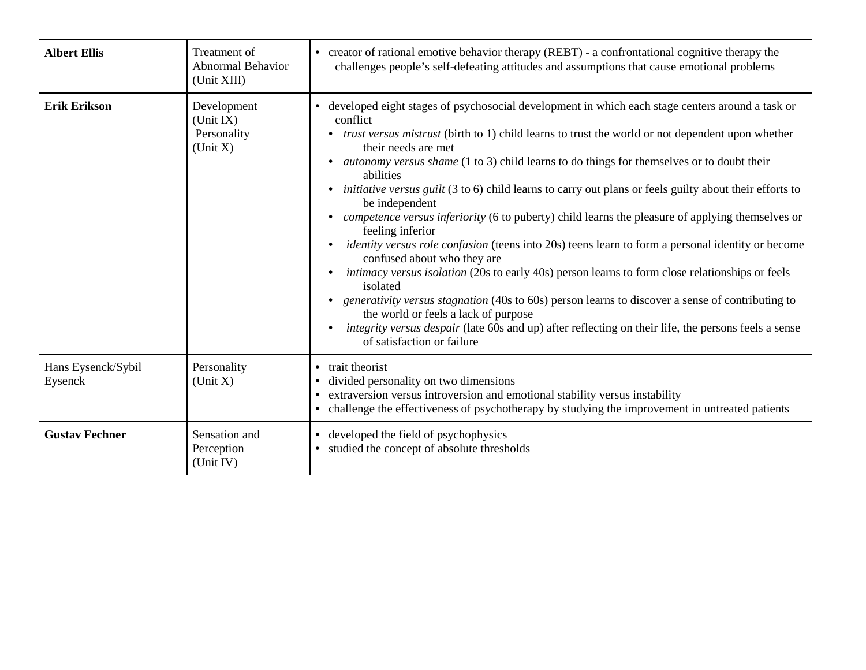| <b>Albert Ellis</b>           | Treatment of<br><b>Abnormal Behavior</b><br>(Unit XIII) | creator of rational emotive behavior therapy (REBT) - a confrontational cognitive therapy the<br>$\bullet$<br>challenges people's self-defeating attitudes and assumptions that cause emotional problems                                                                                                                                                                                                                                                                                                                                                                                                                                                                                                                                                                                                                                                                                                                                                                                                                                                                                                                                                                                                               |
|-------------------------------|---------------------------------------------------------|------------------------------------------------------------------------------------------------------------------------------------------------------------------------------------------------------------------------------------------------------------------------------------------------------------------------------------------------------------------------------------------------------------------------------------------------------------------------------------------------------------------------------------------------------------------------------------------------------------------------------------------------------------------------------------------------------------------------------------------------------------------------------------------------------------------------------------------------------------------------------------------------------------------------------------------------------------------------------------------------------------------------------------------------------------------------------------------------------------------------------------------------------------------------------------------------------------------------|
| <b>Erik Erikson</b>           | Development<br>(Unit IX)<br>Personality<br>(Unit X)     | • developed eight stages of psychosocial development in which each stage centers around a task or<br>conflict<br>trust versus mistrust (birth to 1) child learns to trust the world or not dependent upon whether<br>their needs are met<br><i>autonomy versus shame</i> (1 to 3) child learns to do things for themselves or to doubt their<br>abilities<br><i>initiative versus guilt</i> (3 to 6) child learns to carry out plans or feels guilty about their efforts to<br>$\bullet$<br>be independent<br><i>competence versus inferiority</i> (6 to puberty) child learns the pleasure of applying themselves or<br>feeling inferior<br><i>identity versus role confusion</i> (teens into 20s) teens learn to form a personal identity or become<br>$\bullet$<br>confused about who they are<br>intimacy versus isolation (20s to early 40s) person learns to form close relationships or feels<br>isolated<br><i>generativity versus stagnation</i> (40s to 60s) person learns to discover a sense of contributing to<br>the world or feels a lack of purpose<br>integrity versus despair (late 60s and up) after reflecting on their life, the persons feels a sense<br>$\bullet$<br>of satisfaction or failure |
| Hans Eysenck/Sybil<br>Eysenck | Personality<br>(Unit X)                                 | • trait theorist<br>divided personality on two dimensions<br>extraversion versus introversion and emotional stability versus instability<br>challenge the effectiveness of psychotherapy by studying the improvement in untreated patients                                                                                                                                                                                                                                                                                                                                                                                                                                                                                                                                                                                                                                                                                                                                                                                                                                                                                                                                                                             |
| <b>Gustav Fechner</b>         | Sensation and<br>Perception<br>(Unit IV)                | developed the field of psychophysics<br>$\bullet$<br>• studied the concept of absolute thresholds                                                                                                                                                                                                                                                                                                                                                                                                                                                                                                                                                                                                                                                                                                                                                                                                                                                                                                                                                                                                                                                                                                                      |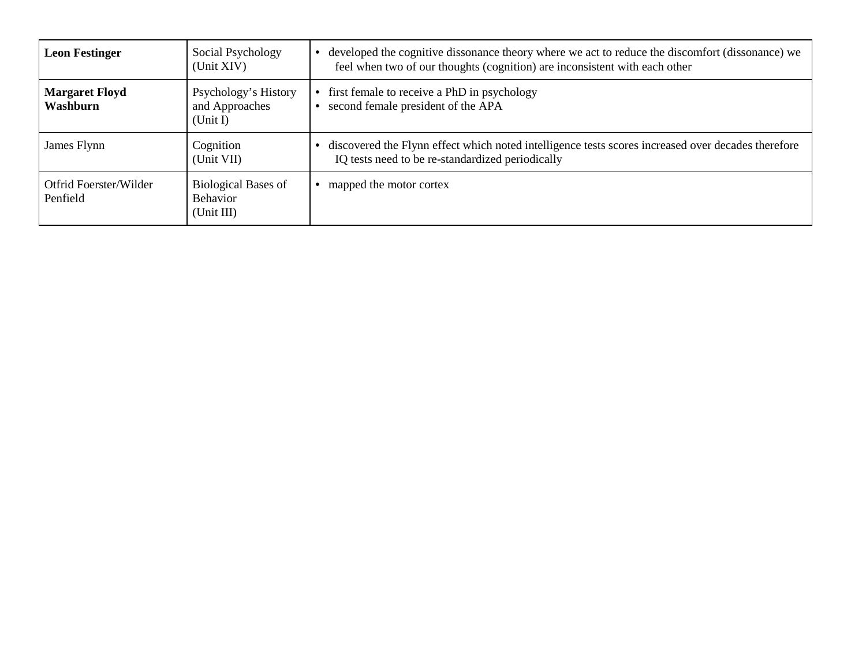| <b>Leon Festinger</b>              | Social Psychology<br>(Unit XIV)                             | developed the cognitive dissonance theory where we act to reduce the discomfort (dissonance) we<br>feel when two of our thoughts (cognition) are inconsistent with each other |
|------------------------------------|-------------------------------------------------------------|-------------------------------------------------------------------------------------------------------------------------------------------------------------------------------|
| <b>Margaret Floyd</b><br>Washburn  | Psychology's History<br>and Approaches<br>(Unit I)          | first female to receive a PhD in psychology<br>second female president of the APA                                                                                             |
| James Flynn                        | Cognition<br>(Unit VII)                                     | discovered the Flynn effect which noted intelligence tests scores increased over decades therefore<br>IQ tests need to be re-standardized periodically                        |
| Otfrid Foerster/Wilder<br>Penfield | <b>Biological Bases of</b><br><b>Behavior</b><br>(Unit III) | mapped the motor cortex                                                                                                                                                       |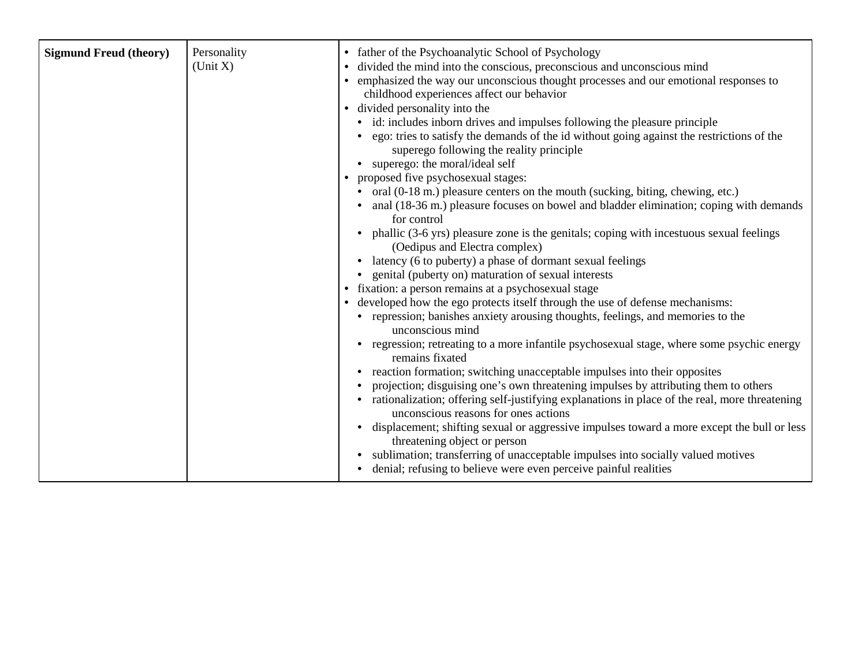| <b>Sigmund Freud (theory)</b> | Personality<br>(Unit X) | • father of the Psychoanalytic School of Psychology<br>• divided the mind into the conscious, preconscious and unconscious mind                                  |
|-------------------------------|-------------------------|------------------------------------------------------------------------------------------------------------------------------------------------------------------|
|                               |                         | • emphasized the way our unconscious thought processes and our emotional responses to                                                                            |
|                               |                         | childhood experiences affect our behavior                                                                                                                        |
|                               |                         | • divided personality into the                                                                                                                                   |
|                               |                         | • id: includes inborn drives and impulses following the pleasure principle                                                                                       |
|                               |                         | ego: tries to satisfy the demands of the id without going against the restrictions of the<br>superego following the reality principle                            |
|                               |                         | • superego: the moral/ideal self                                                                                                                                 |
|                               |                         | proposed five psychosexual stages:                                                                                                                               |
|                               |                         | oral (0-18 m.) pleasure centers on the mouth (sucking, biting, chewing, etc.)                                                                                    |
|                               |                         | anal (18-36 m.) pleasure focuses on bowel and bladder elimination; coping with demands<br>for control                                                            |
|                               |                         | • phallic (3-6 yrs) pleasure zone is the genitals; coping with incestuous sexual feelings<br>(Oedipus and Electra complex)                                       |
|                               |                         | latency (6 to puberty) a phase of dormant sexual feelings                                                                                                        |
|                               |                         | genital (puberty on) maturation of sexual interests                                                                                                              |
|                               |                         | • fixation: a person remains at a psychosexual stage                                                                                                             |
|                               |                         | • developed how the ego protects itself through the use of defense mechanisms:                                                                                   |
|                               |                         | • repression; banishes anxiety arousing thoughts, feelings, and memories to the<br>unconscious mind                                                              |
|                               |                         | regression; retreating to a more infantile psychosexual stage, where some psychic energy<br>remains fixated                                                      |
|                               |                         | • reaction formation; switching unacceptable impulses into their opposites                                                                                       |
|                               |                         | projection; disguising one's own threatening impulses by attributing them to others                                                                              |
|                               |                         | rationalization; offering self-justifying explanations in place of the real, more threatening<br>unconscious reasons for ones actions                            |
|                               |                         | displacement; shifting sexual or aggressive impulses toward a more except the bull or less<br>$\bullet$<br>threatening object or person                          |
|                               |                         | sublimation; transferring of unacceptable impulses into socially valued motives<br>$\bullet$<br>denial; refusing to believe were even perceive painful realities |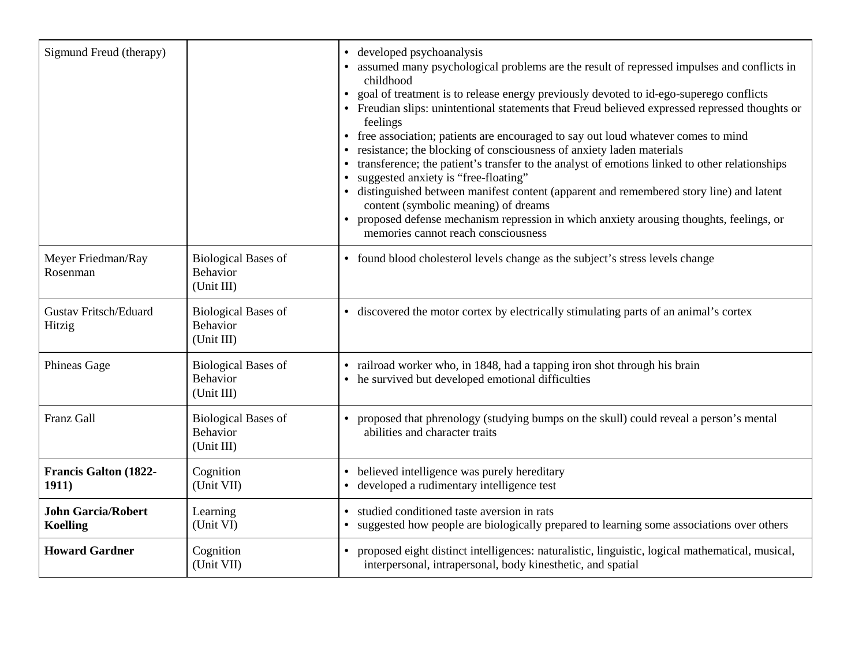| Sigmund Freud (therapy)                      |                                                             | developed psychoanalysis<br>$\bullet$<br>• assumed many psychological problems are the result of repressed impulses and conflicts in<br>childhood<br>• goal of treatment is to release energy previously devoted to id-ego-superego conflicts<br>• Freudian slips: unintentional statements that Freud believed expressed repressed thoughts or<br>feelings<br>free association; patients are encouraged to say out loud whatever comes to mind<br>$\bullet$<br>resistance; the blocking of consciousness of anxiety laden materials<br>transference; the patient's transfer to the analyst of emotions linked to other relationships<br>suggested anxiety is "free-floating"<br>distinguished between manifest content (apparent and remembered story line) and latent<br>content (symbolic meaning) of dreams<br>proposed defense mechanism repression in which anxiety arousing thoughts, feelings, or<br>memories cannot reach consciousness |
|----------------------------------------------|-------------------------------------------------------------|--------------------------------------------------------------------------------------------------------------------------------------------------------------------------------------------------------------------------------------------------------------------------------------------------------------------------------------------------------------------------------------------------------------------------------------------------------------------------------------------------------------------------------------------------------------------------------------------------------------------------------------------------------------------------------------------------------------------------------------------------------------------------------------------------------------------------------------------------------------------------------------------------------------------------------------------------|
| Meyer Friedman/Ray<br>Rosenman               | <b>Biological Bases of</b><br><b>Behavior</b><br>(Unit III) | • found blood cholesterol levels change as the subject's stress levels change                                                                                                                                                                                                                                                                                                                                                                                                                                                                                                                                                                                                                                                                                                                                                                                                                                                                    |
| <b>Gustav Fritsch/Eduard</b><br>Hitzig       | <b>Biological Bases of</b><br>Behavior<br>(Unit III)        | • discovered the motor cortex by electrically stimulating parts of an animal's cortex                                                                                                                                                                                                                                                                                                                                                                                                                                                                                                                                                                                                                                                                                                                                                                                                                                                            |
| Phineas Gage                                 | <b>Biological Bases of</b><br><b>Behavior</b><br>(Unit III) | • railroad worker who, in 1848, had a tapping iron shot through his brain<br>• he survived but developed emotional difficulties                                                                                                                                                                                                                                                                                                                                                                                                                                                                                                                                                                                                                                                                                                                                                                                                                  |
| Franz Gall                                   | <b>Biological Bases of</b><br><b>Behavior</b><br>(Unit III) | proposed that phrenology (studying bumps on the skull) could reveal a person's mental<br>abilities and character traits                                                                                                                                                                                                                                                                                                                                                                                                                                                                                                                                                                                                                                                                                                                                                                                                                          |
| <b>Francis Galton (1822-</b><br>1911)        | Cognition<br>(Unit VII)                                     | believed intelligence was purely hereditary<br>$\bullet$<br>• developed a rudimentary intelligence test                                                                                                                                                                                                                                                                                                                                                                                                                                                                                                                                                                                                                                                                                                                                                                                                                                          |
| <b>John Garcia/Robert</b><br><b>Koelling</b> | Learning<br>(Unit VI)                                       | studied conditioned taste aversion in rats<br>• suggested how people are biologically prepared to learning some associations over others                                                                                                                                                                                                                                                                                                                                                                                                                                                                                                                                                                                                                                                                                                                                                                                                         |
| <b>Howard Gardner</b>                        | Cognition<br>(Unit VII)                                     | proposed eight distinct intelligences: naturalistic, linguistic, logical mathematical, musical,<br>interpersonal, intrapersonal, body kinesthetic, and spatial                                                                                                                                                                                                                                                                                                                                                                                                                                                                                                                                                                                                                                                                                                                                                                                   |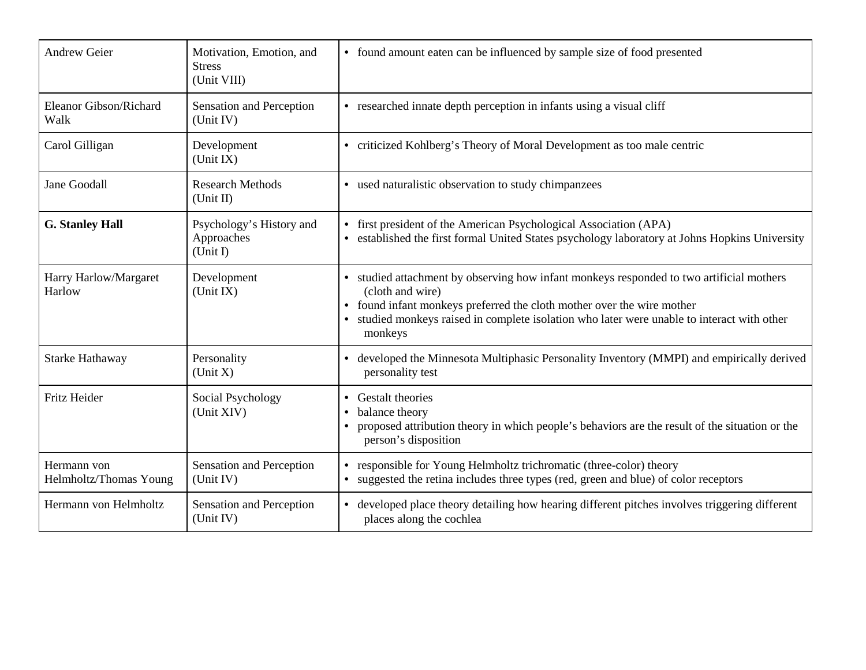| <b>Andrew Geier</b>                   | Motivation, Emotion, and<br><b>Stress</b><br>(Unit VIII) | • found amount eaten can be influenced by sample size of food presented                                                                                                                                                                                                                      |
|---------------------------------------|----------------------------------------------------------|----------------------------------------------------------------------------------------------------------------------------------------------------------------------------------------------------------------------------------------------------------------------------------------------|
| Eleanor Gibson/Richard<br>Walk        | Sensation and Perception<br>(Unit IV)                    | • researched innate depth perception in infants using a visual cliff                                                                                                                                                                                                                         |
| Carol Gilligan                        | Development<br>(Unit IX)                                 | • criticized Kohlberg's Theory of Moral Development as too male centric                                                                                                                                                                                                                      |
| Jane Goodall                          | <b>Research Methods</b><br>(Unit II)                     | • used naturalistic observation to study chimpanzees                                                                                                                                                                                                                                         |
| <b>G. Stanley Hall</b>                | Psychology's History and<br>Approaches<br>(Unit I)       | first president of the American Psychological Association (APA)<br>$\bullet$<br>established the first formal United States psychology laboratory at Johns Hopkins University                                                                                                                 |
| Harry Harlow/Margaret<br>Harlow       | Development<br>(Unit IX)                                 | • studied attachment by observing how infant monkeys responded to two artificial mothers<br>(cloth and wire)<br>found infant monkeys preferred the cloth mother over the wire mother<br>studied monkeys raised in complete isolation who later were unable to interact with other<br>monkeys |
| Starke Hathaway                       | Personality<br>(Unit X)                                  | developed the Minnesota Multiphasic Personality Inventory (MMPI) and empirically derived<br>personality test                                                                                                                                                                                 |
| Fritz Heider                          | Social Psychology<br>(Unit XIV)                          | Gestalt theories<br>$\bullet$<br>balance theory<br>proposed attribution theory in which people's behaviors are the result of the situation or the<br>person's disposition                                                                                                                    |
| Hermann von<br>Helmholtz/Thomas Young | Sensation and Perception<br>(Unit IV)                    | responsible for Young Helmholtz trichromatic (three-color) theory<br>suggested the retina includes three types (red, green and blue) of color receptors                                                                                                                                      |
| Hermann von Helmholtz                 | Sensation and Perception<br>(Unit IV)                    | developed place theory detailing how hearing different pitches involves triggering different<br>places along the cochlea                                                                                                                                                                     |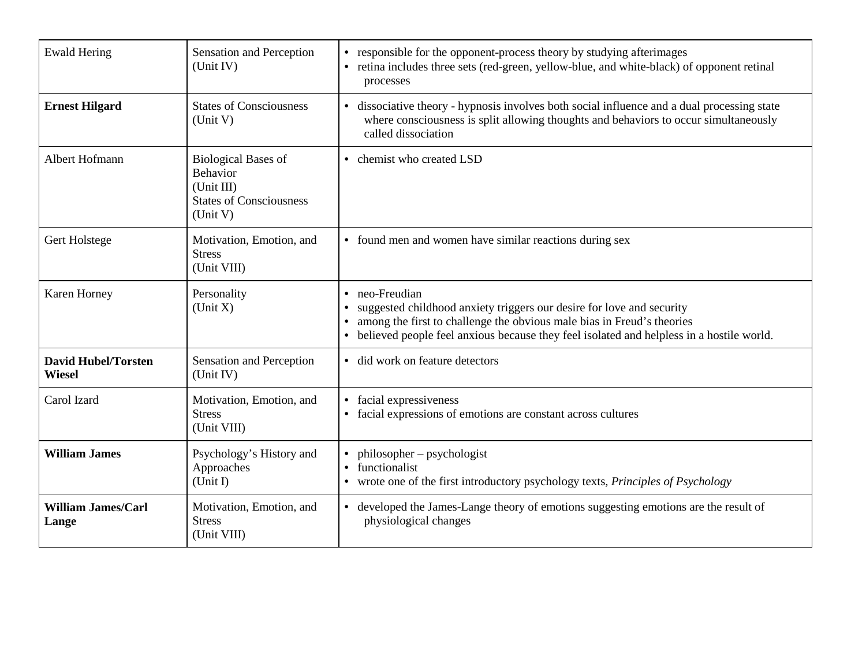| <b>Ewald Hering</b>                         | Sensation and Perception<br>(Unit IV)                                                                     | responsible for the opponent-process theory by studying afterimages<br>• retina includes three sets (red-green, yellow-blue, and white-black) of opponent retinal<br>processes                                                                                           |
|---------------------------------------------|-----------------------------------------------------------------------------------------------------------|--------------------------------------------------------------------------------------------------------------------------------------------------------------------------------------------------------------------------------------------------------------------------|
| <b>Ernest Hilgard</b>                       | <b>States of Consciousness</b><br>(Unit V)                                                                | • dissociative theory - hypnosis involves both social influence and a dual processing state<br>where consciousness is split allowing thoughts and behaviors to occur simultaneously<br>called dissociation                                                               |
| Albert Hofmann                              | <b>Biological Bases of</b><br><b>Behavior</b><br>(Unit III)<br><b>States of Consciousness</b><br>(Unit V) | chemist who created LSD                                                                                                                                                                                                                                                  |
| Gert Holstege                               | Motivation, Emotion, and<br><b>Stress</b><br>(Unit VIII)                                                  | • found men and women have similar reactions during sex                                                                                                                                                                                                                  |
| Karen Horney                                | Personality<br>(Unit X)                                                                                   | neo-Freudian<br>suggested childhood anxiety triggers our desire for love and security<br>among the first to challenge the obvious male bias in Freud's theories<br>$\bullet$<br>believed people feel anxious because they feel isolated and helpless in a hostile world. |
| <b>David Hubel/Torsten</b><br><b>Wiesel</b> | Sensation and Perception<br>(Unit IV)                                                                     | · did work on feature detectors                                                                                                                                                                                                                                          |
| Carol Izard                                 | Motivation, Emotion, and<br><b>Stress</b><br>(Unit VIII)                                                  | facial expressiveness<br>facial expressions of emotions are constant across cultures                                                                                                                                                                                     |
| <b>William James</b>                        | Psychology's History and<br>Approaches<br>(Unit I)                                                        | philosopher – psychologist<br>functionalist<br>wrote one of the first introductory psychology texts, Principles of Psychology                                                                                                                                            |
| <b>William James/Carl</b><br>Lange          | Motivation, Emotion, and<br><b>Stress</b><br>(Unit VIII)                                                  | • developed the James-Lange theory of emotions suggesting emotions are the result of<br>physiological changes                                                                                                                                                            |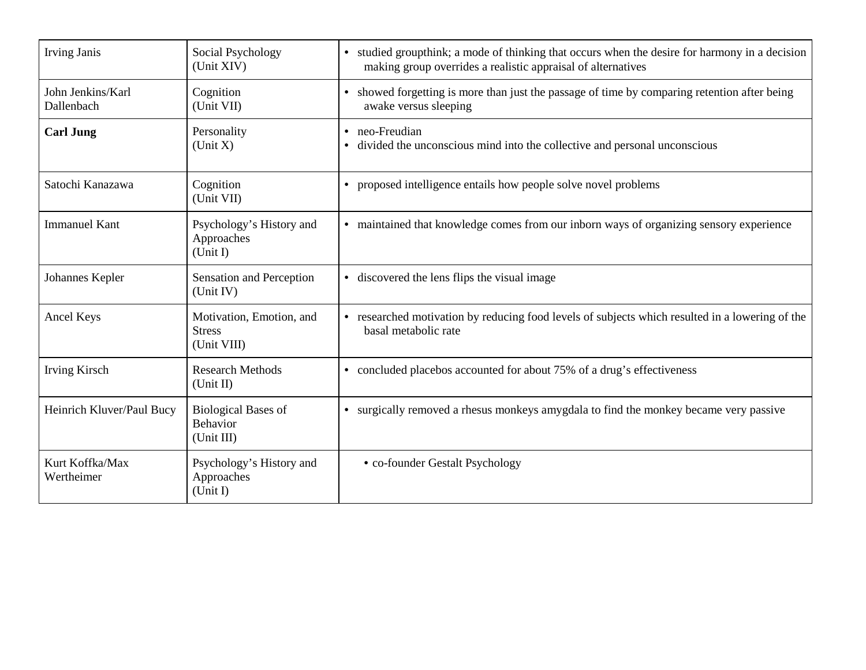| <b>Irving Janis</b>             | Social Psychology<br>(Unit XIV)                          | studied groupthink; a mode of thinking that occurs when the desire for harmony in a decision<br>$\bullet$<br>making group overrides a realistic appraisal of alternatives |
|---------------------------------|----------------------------------------------------------|---------------------------------------------------------------------------------------------------------------------------------------------------------------------------|
| John Jenkins/Karl<br>Dallenbach | Cognition<br>(Unit VII)                                  | • showed forgetting is more than just the passage of time by comparing retention after being<br>awake versus sleeping                                                     |
| <b>Carl Jung</b>                | Personality<br>(Unit X)                                  | neo-Freudian<br>divided the unconscious mind into the collective and personal unconscious<br>$\bullet$                                                                    |
| Satochi Kanazawa                | Cognition<br>(Unit VII)                                  | proposed intelligence entails how people solve novel problems                                                                                                             |
| <b>Immanuel Kant</b>            | Psychology's History and<br>Approaches<br>(Unit I)       | maintained that knowledge comes from our inborn ways of organizing sensory experience<br>$\bullet$                                                                        |
| Johannes Kepler                 | Sensation and Perception<br>(Unit IV)                    | • discovered the lens flips the visual image                                                                                                                              |
| Ancel Keys                      | Motivation, Emotion, and<br><b>Stress</b><br>(Unit VIII) | researched motivation by reducing food levels of subjects which resulted in a lowering of the<br>basal metabolic rate                                                     |
| Irving Kirsch                   | <b>Research Methods</b><br>(Unit II)                     | concluded placebos accounted for about 75% of a drug's effectiveness<br>$\bullet$                                                                                         |
| Heinrich Kluver/Paul Bucy       | <b>Biological Bases of</b><br>Behavior<br>(Unit III)     | surgically removed a rhesus monkeys amygdala to find the monkey became very passive<br>$\bullet$                                                                          |
| Kurt Koffka/Max<br>Wertheimer   | Psychology's History and<br>Approaches<br>(Unit I)       | • co-founder Gestalt Psychology                                                                                                                                           |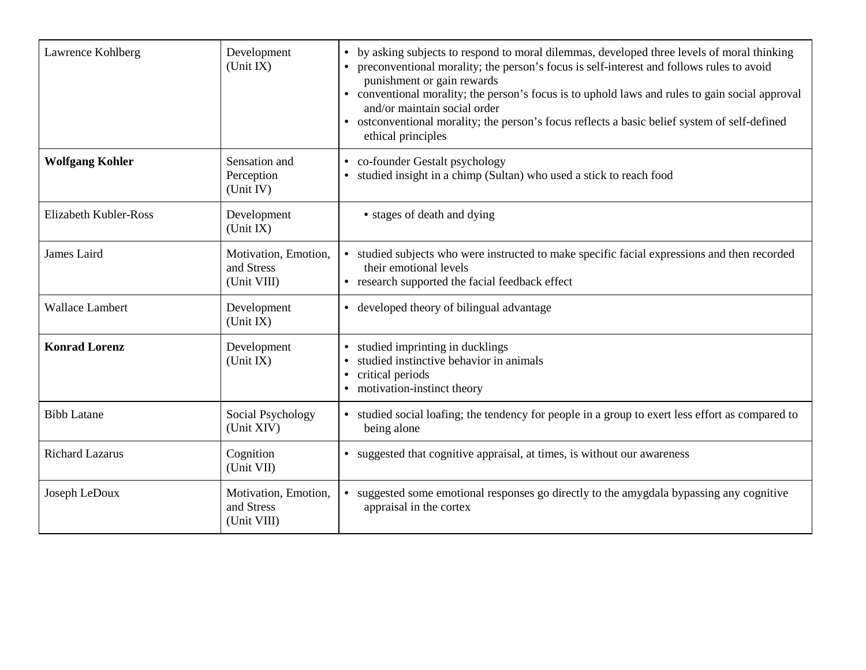| Lawrence Kohlberg            | Development<br>(Unit IX)                          | by asking subjects to respond to moral dilemmas, developed three levels of moral thinking<br>preconventional morality; the person's focus is self-interest and follows rules to avoid<br>punishment or gain rewards<br>• conventional morality; the person's focus is to uphold laws and rules to gain social approval<br>and/or maintain social order<br>• ostconventional morality; the person's focus reflects a basic belief system of self-defined<br>ethical principles |
|------------------------------|---------------------------------------------------|-------------------------------------------------------------------------------------------------------------------------------------------------------------------------------------------------------------------------------------------------------------------------------------------------------------------------------------------------------------------------------------------------------------------------------------------------------------------------------|
| <b>Wolfgang Kohler</b>       | Sensation and<br>Perception<br>(Unit IV)          | • co-founder Gestalt psychology<br>studied insight in a chimp (Sultan) who used a stick to reach food<br>$\bullet$                                                                                                                                                                                                                                                                                                                                                            |
| <b>Elizabeth Kubler-Ross</b> | Development<br>(Unit IX)                          | • stages of death and dying                                                                                                                                                                                                                                                                                                                                                                                                                                                   |
| James Laird                  | Motivation, Emotion,<br>and Stress<br>(Unit VIII) | • studied subjects who were instructed to make specific facial expressions and then recorded<br>their emotional levels<br>• research supported the facial feedback effect                                                                                                                                                                                                                                                                                                     |
| <b>Wallace Lambert</b>       | Development<br>(Unit IX)                          | • developed theory of bilingual advantage                                                                                                                                                                                                                                                                                                                                                                                                                                     |
| <b>Konrad Lorenz</b>         | Development<br>(Unit IX)                          | studied imprinting in ducklings<br>$\bullet$<br>studied instinctive behavior in animals<br>critical periods<br>$\bullet$<br>motivation-instinct theory                                                                                                                                                                                                                                                                                                                        |
| <b>Bibb Latane</b>           | Social Psychology<br>(Unit XIV)                   | • studied social loafing; the tendency for people in a group to exert less effort as compared to<br>being alone                                                                                                                                                                                                                                                                                                                                                               |
| <b>Richard Lazarus</b>       | Cognition<br>(Unit VII)                           | • suggested that cognitive appraisal, at times, is without our awareness                                                                                                                                                                                                                                                                                                                                                                                                      |
| Joseph LeDoux                | Motivation, Emotion,<br>and Stress<br>(Unit VIII) | suggested some emotional responses go directly to the amygdala bypassing any cognitive<br>appraisal in the cortex                                                                                                                                                                                                                                                                                                                                                             |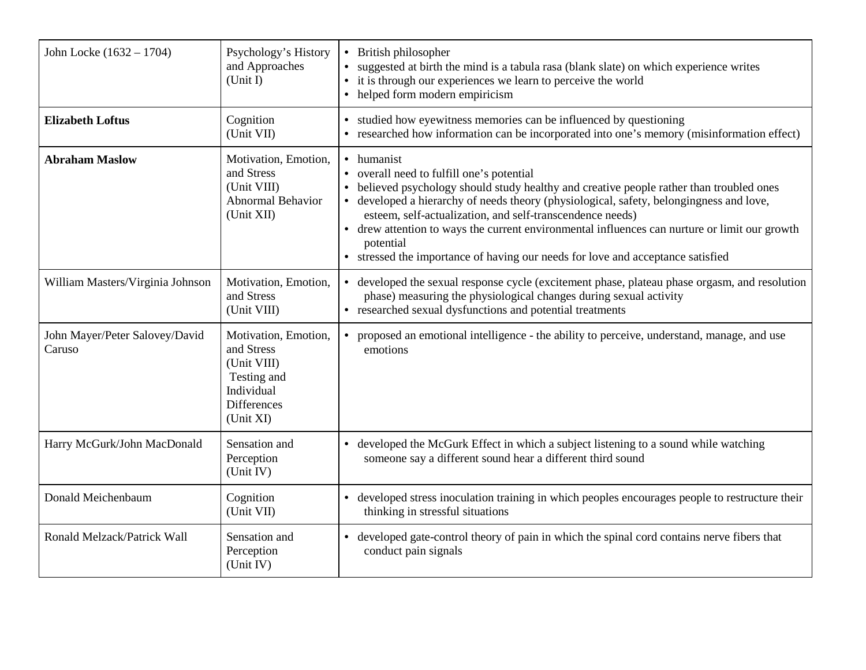| John Locke (1632 – 1704)                 | Psychology's History<br>and Approaches<br>(Unit I)                                                                | British philosopher<br>$\bullet$<br>suggested at birth the mind is a tabula rasa (blank slate) on which experience writes<br>it is through our experiences we learn to perceive the world<br>• helped form modern empiricism                                                                                                                                                                                                                                                                             |
|------------------------------------------|-------------------------------------------------------------------------------------------------------------------|----------------------------------------------------------------------------------------------------------------------------------------------------------------------------------------------------------------------------------------------------------------------------------------------------------------------------------------------------------------------------------------------------------------------------------------------------------------------------------------------------------|
| <b>Elizabeth Loftus</b>                  | Cognition<br>(Unit VII)                                                                                           | studied how eyewitness memories can be influenced by questioning<br>• researched how information can be incorporated into one's memory (misinformation effect)                                                                                                                                                                                                                                                                                                                                           |
| <b>Abraham Maslow</b>                    | Motivation, Emotion,<br>and Stress<br>(Unit VIII)<br>Abnormal Behavior<br>(Unit XII)                              | • humanist<br>overall need to fulfill one's potential<br>believed psychology should study healthy and creative people rather than troubled ones<br>• developed a hierarchy of needs theory (physiological, safety, belongingness and love,<br>esteem, self-actualization, and self-transcendence needs)<br>• drew attention to ways the current environmental influences can nurture or limit our growth<br>potential<br>• stressed the importance of having our needs for love and acceptance satisfied |
| William Masters/Virginia Johnson         | Motivation, Emotion,<br>and Stress<br>(Unit VIII)                                                                 | • developed the sexual response cycle (excitement phase, plateau phase orgasm, and resolution<br>phase) measuring the physiological changes during sexual activity<br>• researched sexual dysfunctions and potential treatments                                                                                                                                                                                                                                                                          |
| John Mayer/Peter Salovey/David<br>Caruso | Motivation, Emotion,<br>and Stress<br>(Unit VIII)<br>Testing and<br>Individual<br><b>Differences</b><br>(Unit XI) | proposed an emotional intelligence - the ability to perceive, understand, manage, and use<br>emotions                                                                                                                                                                                                                                                                                                                                                                                                    |
| Harry McGurk/John MacDonald              | Sensation and<br>Perception<br>(Unit IV)                                                                          | developed the McGurk Effect in which a subject listening to a sound while watching<br>$\bullet$<br>someone say a different sound hear a different third sound                                                                                                                                                                                                                                                                                                                                            |
| Donald Meichenbaum                       | Cognition<br>(Unit VII)                                                                                           | developed stress inoculation training in which peoples encourages people to restructure their<br>$\bullet$<br>thinking in stressful situations                                                                                                                                                                                                                                                                                                                                                           |
| Ronald Melzack/Patrick Wall              | Sensation and<br>Perception<br>(Unit IV)                                                                          | developed gate-control theory of pain in which the spinal cord contains nerve fibers that<br>$\bullet$<br>conduct pain signals                                                                                                                                                                                                                                                                                                                                                                           |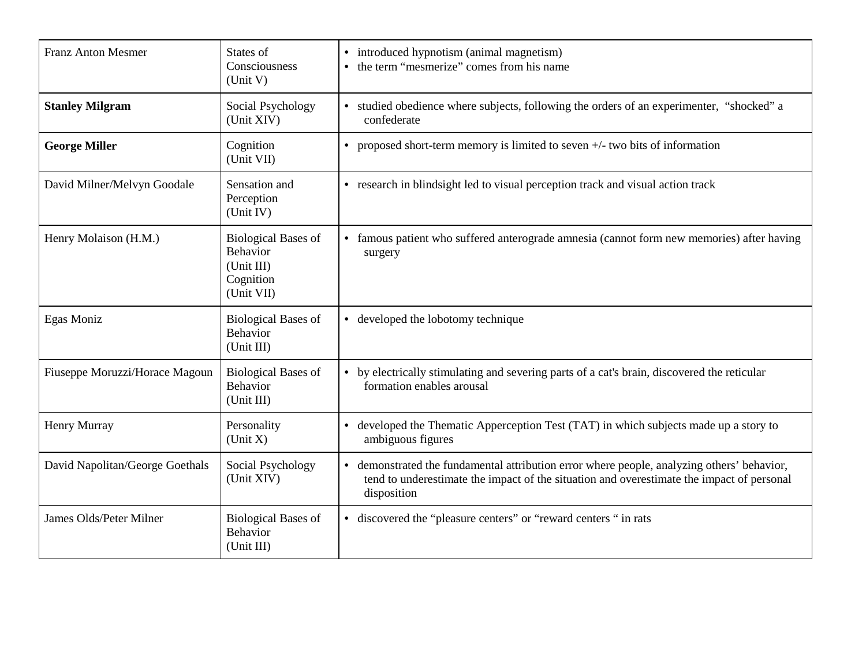| <b>Franz Anton Mesmer</b>       | States of<br>Consciousness<br>(Unit V)                                          | introduced hypnotism (animal magnetism)<br>$\bullet$<br>the term "mesmerize" comes from his name                                                                                                     |
|---------------------------------|---------------------------------------------------------------------------------|------------------------------------------------------------------------------------------------------------------------------------------------------------------------------------------------------|
| <b>Stanley Milgram</b>          | Social Psychology<br>(Unit XIV)                                                 | • studied obedience where subjects, following the orders of an experimenter, "shocked" a<br>confederate                                                                                              |
| <b>George Miller</b>            | Cognition<br>(Unit VII)                                                         | proposed short-term memory is limited to seven $+/-$ two bits of information<br>$\bullet$                                                                                                            |
| David Milner/Melvyn Goodale     | Sensation and<br>Perception<br>(Unit IV)                                        | • research in blindsight led to visual perception track and visual action track                                                                                                                      |
| Henry Molaison (H.M.)           | <b>Biological Bases of</b><br>Behavior<br>(Unit III)<br>Cognition<br>(Unit VII) | famous patient who suffered anterograde amnesia (cannot form new memories) after having<br>surgery                                                                                                   |
| Egas Moniz                      | <b>Biological Bases of</b><br><b>Behavior</b><br>(Unit III)                     | • developed the lobotomy technique                                                                                                                                                                   |
| Fiuseppe Moruzzi/Horace Magoun  | <b>Biological Bases of</b><br>Behavior<br>(Unit III)                            | by electrically stimulating and severing parts of a cat's brain, discovered the reticular<br>formation enables arousal                                                                               |
| <b>Henry Murray</b>             | Personality<br>(Unit X)                                                         | • developed the Thematic Apperception Test (TAT) in which subjects made up a story to<br>ambiguous figures                                                                                           |
| David Napolitan/George Goethals | Social Psychology<br>(Unit XIV)                                                 | demonstrated the fundamental attribution error where people, analyzing others' behavior,<br>tend to underestimate the impact of the situation and overestimate the impact of personal<br>disposition |
| James Olds/Peter Milner         | <b>Biological Bases of</b><br>Behavior<br>(Unit III)                            | • discovered the "pleasure centers" or "reward centers" in rats                                                                                                                                      |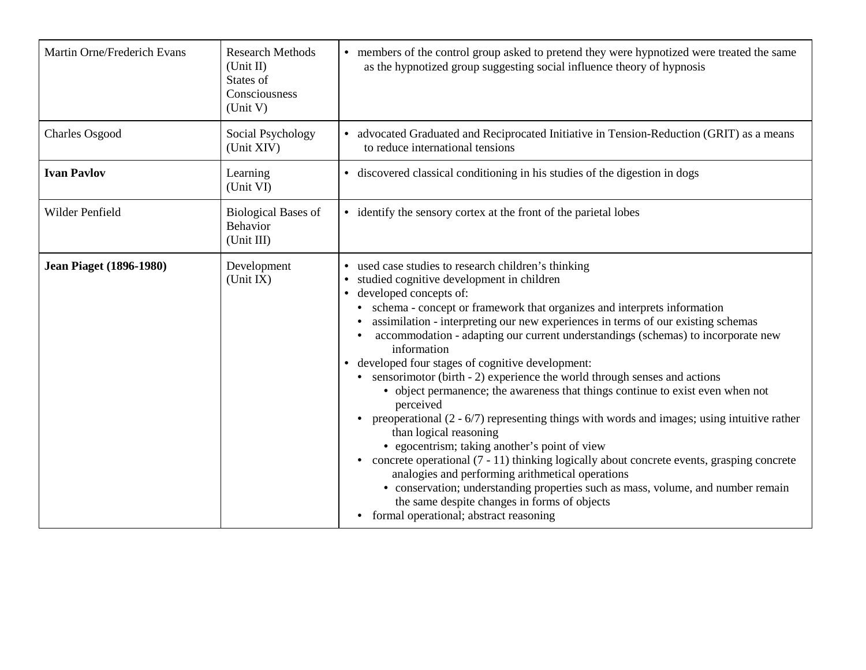| Martin Orne/Frederich Evans    | <b>Research Methods</b><br>(Unit II)<br>States of<br>Consciousness<br>(Unit V) | • members of the control group asked to pretend they were hypnotized were treated the same<br>as the hypnotized group suggesting social influence theory of hypnosis                                                                                                                                                                                                                                                                                                                                                                                                                                                                                                                                                                                                                                                                                                                                                                                                                                                                                                                                                                         |
|--------------------------------|--------------------------------------------------------------------------------|----------------------------------------------------------------------------------------------------------------------------------------------------------------------------------------------------------------------------------------------------------------------------------------------------------------------------------------------------------------------------------------------------------------------------------------------------------------------------------------------------------------------------------------------------------------------------------------------------------------------------------------------------------------------------------------------------------------------------------------------------------------------------------------------------------------------------------------------------------------------------------------------------------------------------------------------------------------------------------------------------------------------------------------------------------------------------------------------------------------------------------------------|
| <b>Charles Osgood</b>          | Social Psychology<br>(Unit XIV)                                                | • advocated Graduated and Reciprocated Initiative in Tension-Reduction (GRIT) as a means<br>to reduce international tensions                                                                                                                                                                                                                                                                                                                                                                                                                                                                                                                                                                                                                                                                                                                                                                                                                                                                                                                                                                                                                 |
| <b>Ivan Pavlov</b>             | Learning<br>(Unit VI)                                                          | • discovered classical conditioning in his studies of the digestion in dogs                                                                                                                                                                                                                                                                                                                                                                                                                                                                                                                                                                                                                                                                                                                                                                                                                                                                                                                                                                                                                                                                  |
| Wilder Penfield                | <b>Biological Bases of</b><br>Behavior<br>(Unit III)                           | • identify the sensory cortex at the front of the parietal lobes                                                                                                                                                                                                                                                                                                                                                                                                                                                                                                                                                                                                                                                                                                                                                                                                                                                                                                                                                                                                                                                                             |
| <b>Jean Piaget (1896-1980)</b> | Development<br>(Unit IX)                                                       | used case studies to research children's thinking<br>studied cognitive development in children<br>developed concepts of:<br>schema - concept or framework that organizes and interprets information<br>assimilation - interpreting our new experiences in terms of our existing schemas<br>accommodation - adapting our current understandings (schemas) to incorporate new<br>information<br>• developed four stages of cognitive development:<br>• sensorimotor (birth - 2) experience the world through senses and actions<br>• object permanence; the awareness that things continue to exist even when not<br>perceived<br>preoperational $(2 - 6/7)$ representing things with words and images; using intuitive rather<br>than logical reasoning<br>• egocentrism; taking another's point of view<br>• concrete operational $(7 - 11)$ thinking logically about concrete events, grasping concrete<br>analogies and performing arithmetical operations<br>• conservation; understanding properties such as mass, volume, and number remain<br>the same despite changes in forms of objects<br>• formal operational; abstract reasoning |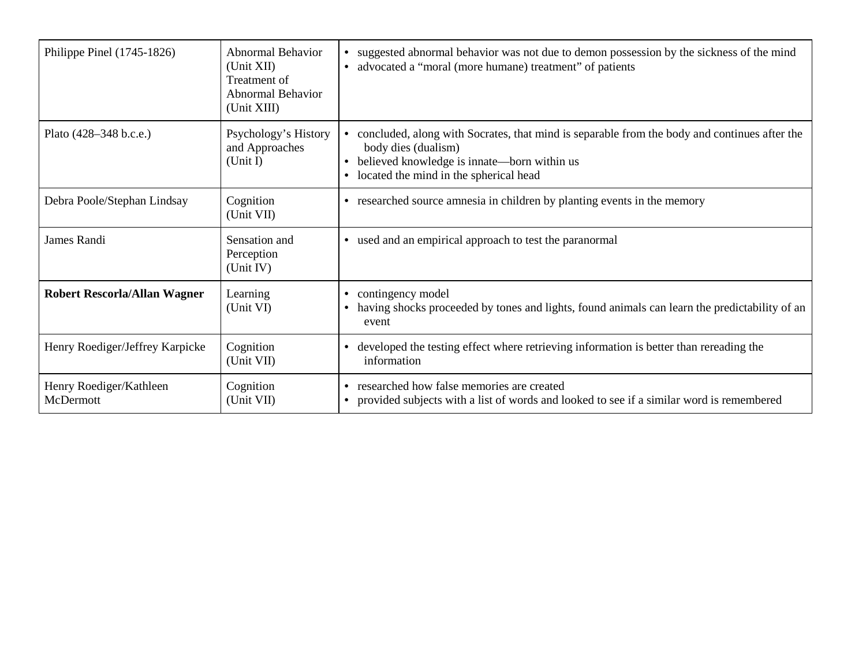| Philippe Pinel (1745-1826)           | <b>Abnormal Behavior</b><br>(Unit XII)<br>Treatment of<br><b>Abnormal Behavior</b><br>(Unit XIII) | suggested abnormal behavior was not due to demon possession by the sickness of the mind<br>advocated a "moral (more humane) treatment" of patients                                                                                     |
|--------------------------------------|---------------------------------------------------------------------------------------------------|----------------------------------------------------------------------------------------------------------------------------------------------------------------------------------------------------------------------------------------|
| Plato (428–348 b.c.e.)               | Psychology's History<br>and Approaches<br>(Unit I)                                                | concluded, along with Socrates, that mind is separable from the body and continues after the<br>body dies (dualism)<br>believed knowledge is innate—born within us<br>$\bullet$<br>located the mind in the spherical head<br>$\bullet$ |
| Debra Poole/Stephan Lindsay          | Cognition<br>(Unit VII)                                                                           | researched source amnesia in children by planting events in the memory<br>$\bullet$                                                                                                                                                    |
| James Randi                          | Sensation and<br>Perception<br>(Unit IV)                                                          | • used and an empirical approach to test the paranormal                                                                                                                                                                                |
| Robert Rescorla/Allan Wagner         | Learning<br>(Unit VI)                                                                             | contingency model<br>$\bullet$<br>having shocks proceeded by tones and lights, found animals can learn the predictability of an<br>$\bullet$<br>event                                                                                  |
| Henry Roediger/Jeffrey Karpicke      | Cognition<br>(Unit VII)                                                                           | developed the testing effect where retrieving information is better than rereading the<br>$\bullet$<br>information                                                                                                                     |
| Henry Roediger/Kathleen<br>McDermott | Cognition<br>(Unit VII)                                                                           | researched how false memories are created<br>$\bullet$<br>provided subjects with a list of words and looked to see if a similar word is remembered<br>$\bullet$                                                                        |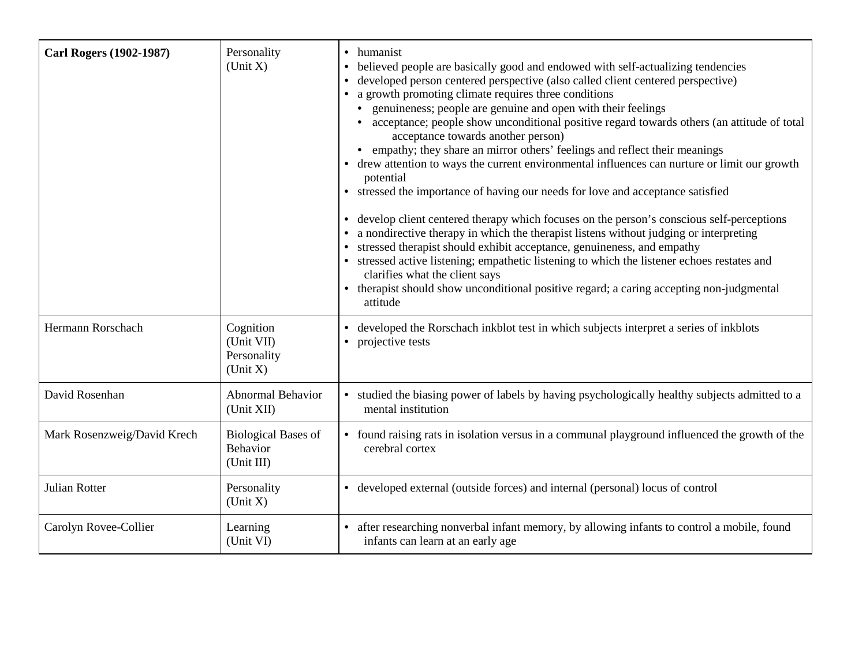| <b>Carl Rogers (1902-1987)</b> | Personality<br>(Unit X)                              | humanist<br>$\bullet$<br>believed people are basically good and endowed with self-actualizing tendencies<br>developed person centered perspective (also called client centered perspective)<br>a growth promoting climate requires three conditions<br>• genuineness; people are genuine and open with their feelings<br>acceptance; people show unconditional positive regard towards others (an attitude of total<br>acceptance towards another person)<br>• empathy; they share an mirror others' feelings and reflect their meanings<br>drew attention to ways the current environmental influences can nurture or limit our growth<br>potential<br>• stressed the importance of having our needs for love and acceptance satisfied<br>develop client centered therapy which focuses on the person's conscious self-perceptions<br>a nondirective therapy in which the therapist listens without judging or interpreting<br>stressed therapist should exhibit acceptance, genuineness, and empathy<br>• stressed active listening; empathetic listening to which the listener echoes restates and<br>clarifies what the client says<br>• therapist should show unconditional positive regard; a caring accepting non-judgmental<br>attitude |
|--------------------------------|------------------------------------------------------|-------------------------------------------------------------------------------------------------------------------------------------------------------------------------------------------------------------------------------------------------------------------------------------------------------------------------------------------------------------------------------------------------------------------------------------------------------------------------------------------------------------------------------------------------------------------------------------------------------------------------------------------------------------------------------------------------------------------------------------------------------------------------------------------------------------------------------------------------------------------------------------------------------------------------------------------------------------------------------------------------------------------------------------------------------------------------------------------------------------------------------------------------------------------------------------------------------------------------------------------------|
| Hermann Rorschach              | Cognition<br>(Unit VII)<br>Personality<br>(Unit X)   | developed the Rorschach inkblot test in which subjects interpret a series of inkblots<br>projective tests                                                                                                                                                                                                                                                                                                                                                                                                                                                                                                                                                                                                                                                                                                                                                                                                                                                                                                                                                                                                                                                                                                                                       |
| David Rosenhan                 | Abnormal Behavior<br>(Unit XII)                      | • studied the biasing power of labels by having psychologically healthy subjects admitted to a<br>mental institution                                                                                                                                                                                                                                                                                                                                                                                                                                                                                                                                                                                                                                                                                                                                                                                                                                                                                                                                                                                                                                                                                                                            |
| Mark Rosenzweig/David Krech    | <b>Biological Bases of</b><br>Behavior<br>(Unit III) | • found raising rats in isolation versus in a communal playground influenced the growth of the<br>cerebral cortex                                                                                                                                                                                                                                                                                                                                                                                                                                                                                                                                                                                                                                                                                                                                                                                                                                                                                                                                                                                                                                                                                                                               |
| Julian Rotter                  | Personality<br>(Unit X)                              | • developed external (outside forces) and internal (personal) locus of control                                                                                                                                                                                                                                                                                                                                                                                                                                                                                                                                                                                                                                                                                                                                                                                                                                                                                                                                                                                                                                                                                                                                                                  |
| Carolyn Rovee-Collier          | Learning<br>(Unit VI)                                | after researching nonverbal infant memory, by allowing infants to control a mobile, found<br>$\bullet$<br>infants can learn at an early age                                                                                                                                                                                                                                                                                                                                                                                                                                                                                                                                                                                                                                                                                                                                                                                                                                                                                                                                                                                                                                                                                                     |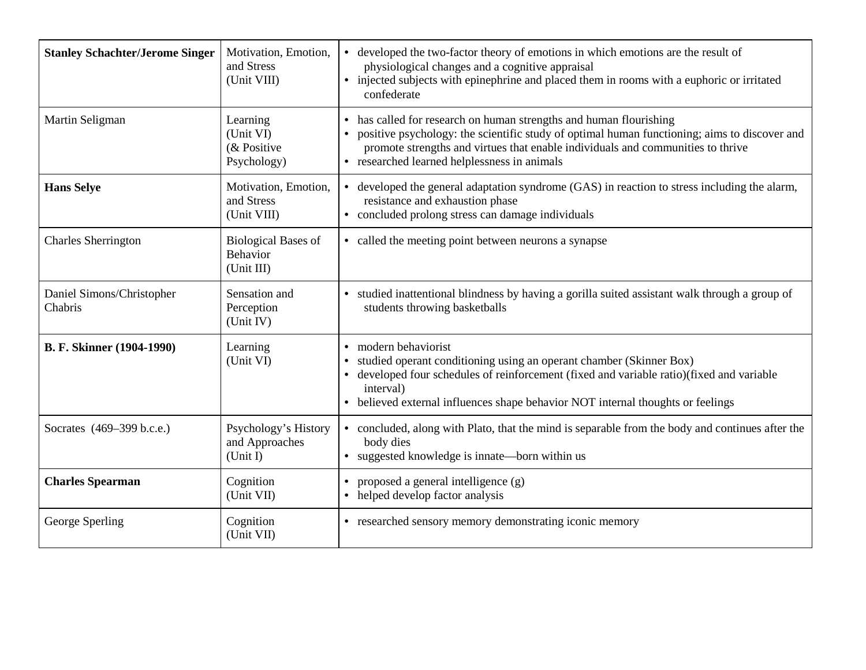| <b>Stanley Schachter/Jerome Singer</b> | Motivation, Emotion,<br>and Stress<br>(Unit VIII)    | developed the two-factor theory of emotions in which emotions are the result of<br>physiological changes and a cognitive appraisal<br>injected subjects with epinephrine and placed them in rooms with a euphoric or irritated<br>confederate                                                       |
|----------------------------------------|------------------------------------------------------|-----------------------------------------------------------------------------------------------------------------------------------------------------------------------------------------------------------------------------------------------------------------------------------------------------|
| Martin Seligman                        | Learning<br>(Unit VI)<br>(& Positive<br>Psychology)  | has called for research on human strengths and human flourishing<br>positive psychology: the scientific study of optimal human functioning; aims to discover and<br>promote strengths and virtues that enable individuals and communities to thrive<br>• researched learned helplessness in animals |
| <b>Hans Selve</b>                      | Motivation, Emotion,<br>and Stress<br>(Unit VIII)    | developed the general adaptation syndrome (GAS) in reaction to stress including the alarm,<br>resistance and exhaustion phase<br>• concluded prolong stress can damage individuals                                                                                                                  |
| <b>Charles Sherrington</b>             | <b>Biological Bases of</b><br>Behavior<br>(Unit III) | • called the meeting point between neurons a synapse                                                                                                                                                                                                                                                |
| Daniel Simons/Christopher<br>Chabris   | Sensation and<br>Perception<br>(Unit IV)             | • studied inattentional blindness by having a gorilla suited assistant walk through a group of<br>students throwing basketballs                                                                                                                                                                     |
| B. F. Skinner (1904-1990)              | Learning<br>(Unit VI)                                | modern behaviorist<br>$\bullet$<br>studied operant conditioning using an operant chamber (Skinner Box)<br>developed four schedules of reinforcement (fixed and variable ratio)(fixed and variable<br>interval)<br>• believed external influences shape behavior NOT internal thoughts or feelings   |
| Socrates (469–399 b.c.e.)              | Psychology's History<br>and Approaches<br>(Unit I)   | concluded, along with Plato, that the mind is separable from the body and continues after the<br>$\bullet$<br>body dies<br>suggested knowledge is innate—born within us<br>$\bullet$                                                                                                                |
| <b>Charles Spearman</b>                | Cognition<br>(Unit VII)                              | proposed a general intelligence (g)<br>helped develop factor analysis                                                                                                                                                                                                                               |
| George Sperling                        | Cognition<br>(Unit VII)                              | • researched sensory memory demonstrating iconic memory                                                                                                                                                                                                                                             |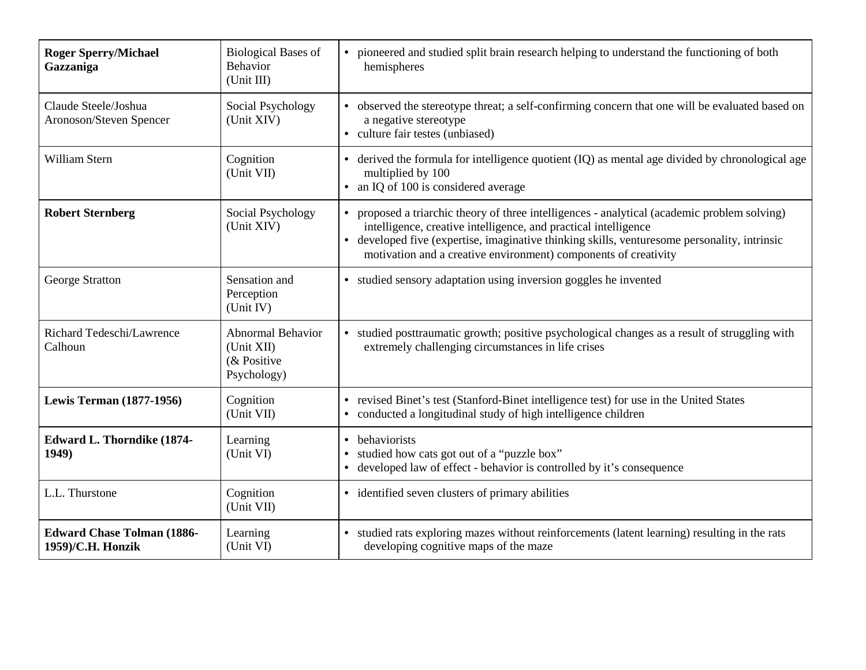| <b>Roger Sperry/Michael</b><br>Gazzaniga               | <b>Biological Bases of</b><br>Behavior<br>(Unit III)                 | pioneered and studied split brain research helping to understand the functioning of both<br>hemispheres                                                                                                                                                                                                                        |
|--------------------------------------------------------|----------------------------------------------------------------------|--------------------------------------------------------------------------------------------------------------------------------------------------------------------------------------------------------------------------------------------------------------------------------------------------------------------------------|
| Claude Steele/Joshua<br>Aronoson/Steven Spencer        | Social Psychology<br>(Unit XIV)                                      | • observed the stereotype threat; a self-confirming concern that one will be evaluated based on<br>a negative stereotype<br>• culture fair testes (unbiased)                                                                                                                                                                   |
| William Stern                                          | Cognition<br>(Unit VII)                                              | derived the formula for intelligence quotient (IQ) as mental age divided by chronological age<br>$\bullet$<br>multiplied by 100<br>an IQ of 100 is considered average<br>$\bullet$                                                                                                                                             |
| <b>Robert Sternberg</b>                                | Social Psychology<br>(Unit XIV)                                      | proposed a triarchic theory of three intelligences - analytical (academic problem solving)<br>intelligence, creative intelligence, and practical intelligence<br>developed five (expertise, imaginative thinking skills, venturesome personality, intrinsic<br>motivation and a creative environment) components of creativity |
| George Stratton                                        | Sensation and<br>Perception<br>(Unit IV)                             | • studied sensory adaptation using inversion goggles he invented                                                                                                                                                                                                                                                               |
| Richard Tedeschi/Lawrence<br>Calhoun                   | <b>Abnormal Behavior</b><br>(Unit XII)<br>(& Positive<br>Psychology) | • studied posttraumatic growth; positive psychological changes as a result of struggling with<br>extremely challenging circumstances in life crises                                                                                                                                                                            |
| <b>Lewis Terman (1877-1956)</b>                        | Cognition<br>(Unit VII)                                              | • revised Binet's test (Stanford-Binet intelligence test) for use in the United States<br>• conducted a longitudinal study of high intelligence children                                                                                                                                                                       |
| <b>Edward L. Thorndike (1874-</b><br>1949)             | Learning<br>(Unit VI)                                                | behaviorists<br>$\bullet$<br>studied how cats got out of a "puzzle box"<br>developed law of effect - behavior is controlled by it's consequence<br>$\bullet$                                                                                                                                                                   |
| L.L. Thurstone                                         | Cognition<br>(Unit VII)                                              | • identified seven clusters of primary abilities                                                                                                                                                                                                                                                                               |
| <b>Edward Chase Tolman (1886-</b><br>1959)/C.H. Honzik | Learning<br>(Unit VI)                                                | studied rats exploring mazes without reinforcements (latent learning) resulting in the rats<br>$\bullet$<br>developing cognitive maps of the maze                                                                                                                                                                              |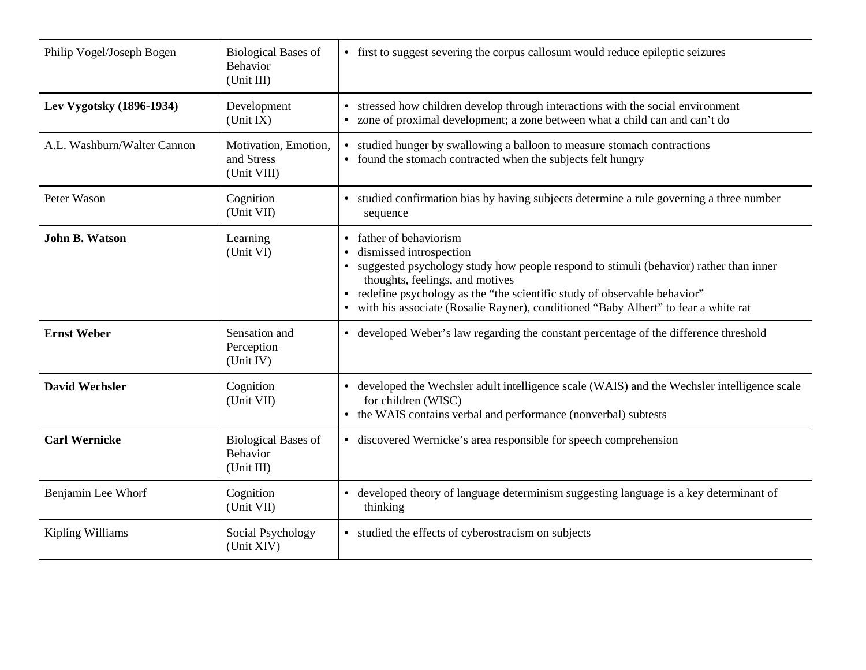| Philip Vogel/Joseph Bogen   | <b>Biological Bases of</b><br>Behavior<br>(Unit III) | • first to suggest severing the corpus callosum would reduce epileptic seizures                                                                                                                                                                                                                                                                                                |
|-----------------------------|------------------------------------------------------|--------------------------------------------------------------------------------------------------------------------------------------------------------------------------------------------------------------------------------------------------------------------------------------------------------------------------------------------------------------------------------|
| Lev Vygotsky (1896-1934)    | Development<br>(Unit IX)                             | stressed how children develop through interactions with the social environment<br>• zone of proximal development; a zone between what a child can and can't do                                                                                                                                                                                                                 |
| A.L. Washburn/Walter Cannon | Motivation, Emotion,<br>and Stress<br>(Unit VIII)    | studied hunger by swallowing a balloon to measure stomach contractions<br>$\bullet$<br>found the stomach contracted when the subjects felt hungry<br>$\bullet$                                                                                                                                                                                                                 |
| Peter Wason                 | Cognition<br>(Unit VII)                              | studied confirmation bias by having subjects determine a rule governing a three number<br>sequence                                                                                                                                                                                                                                                                             |
| <b>John B. Watson</b>       | Learning<br>(Unit VI)                                | father of behaviorism<br>$\bullet$<br>dismissed introspection<br>$\bullet$<br>• suggested psychology study how people respond to stimuli (behavior) rather than inner<br>thoughts, feelings, and motives<br>• redefine psychology as the "the scientific study of observable behavior"<br>• with his associate (Rosalie Rayner), conditioned "Baby Albert" to fear a white rat |
| <b>Ernst Weber</b>          | Sensation and<br>Perception<br>(Unit IV)             | • developed Weber's law regarding the constant percentage of the difference threshold                                                                                                                                                                                                                                                                                          |
| <b>David Wechsler</b>       | Cognition<br>(Unit VII)                              | • developed the Wechsler adult intelligence scale (WAIS) and the Wechsler intelligence scale<br>for children (WISC)<br>• the WAIS contains verbal and performance (nonverbal) subtests                                                                                                                                                                                         |
| <b>Carl Wernicke</b>        | <b>Biological Bases of</b><br>Behavior<br>(Unit III) | • discovered Wernicke's area responsible for speech comprehension                                                                                                                                                                                                                                                                                                              |
| Benjamin Lee Whorf          | Cognition<br>(Unit VII)                              | developed theory of language determinism suggesting language is a key determinant of<br>$\bullet$<br>thinking                                                                                                                                                                                                                                                                  |
| Kipling Williams            | Social Psychology<br>(Unit XIV)                      | • studied the effects of cyberostracism on subjects                                                                                                                                                                                                                                                                                                                            |